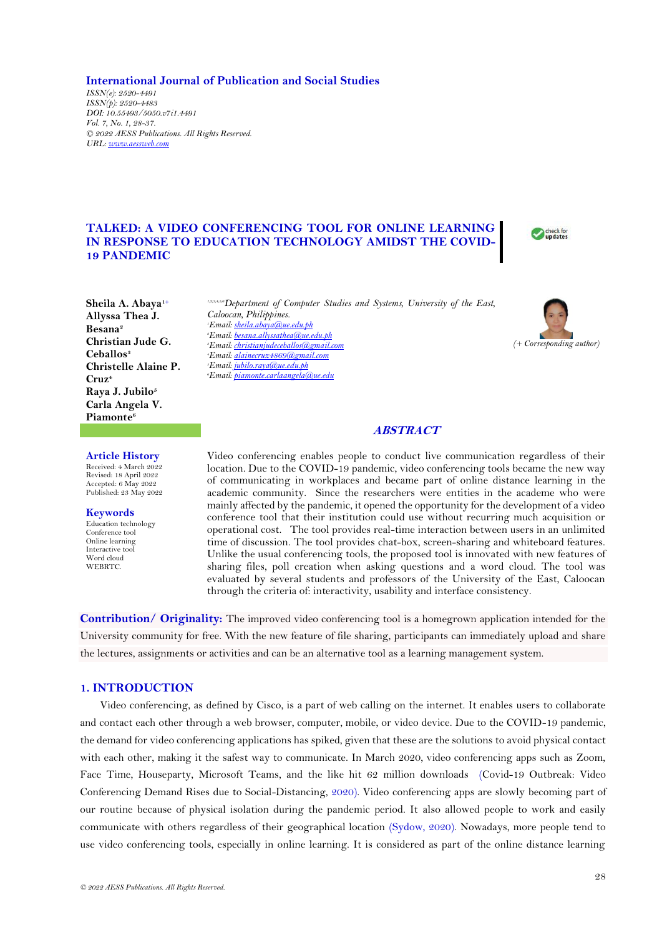**International Journal of Publication and Social Studies**

*ISSN(e): 2520-4491 ISSN(p): 2520-4483 DOI: 10.55493/5050.v7i1.4491 Vol. 7, No. 1, 28-37. © 2022 AESS Publications. All Rights Reserved. URL[: www.aessweb.com](http://www.aessweb.com/)*

# **TALKED: A VIDEO CONFERENCING TOOL FOR ONLINE LEARNING IN RESPONSE TO EDUCATION TECHNOLOGY AMIDST THE COVID-19 PANDEMIC**



**Sheila A. Abaya1+ Allyssa Thea J. Besana<sup>2</sup> Christian Jude G. Ceballos<sup>3</sup> Christelle Alaine P. Cruz<sup>4</sup> Raya J. Jubilo<sup>5</sup> Carla Angela V. Piamonte<sup>6</sup>**

**Article History** Received: 4 March 2022 Revised: 18 April 2022 Accepted: 6 May 2022 Published: 23 May 2022

**Keywords** Education technology Conference tool Online learning Interactive tool Word cloud WEBRTC.

*1,2,3,4,5,6Department of Computer Studies and Systems, University of the East, Caloocan, Philippines. Email[: sheila.abaya@ue.edu.ph](mailto:sheila.abaya@ue.edu.ph) Email[: besana.allyssathea@ue.edu.ph](mailto:besana.allyssathea@ue.edu.ph) Email[: christianjudeceballos@gmail.com](mailto:christianjudeceballos@gmail.com) Email[: alainecruz4869@gmail.com](mailto:alainecruz4869@gmail.com) Email[: jubilo.raya@ue.edu.ph](mailto:jubilo.raya@ue.edu.ph) <i>f*Email<sub></sub>*fiamonte.carlaangela@ue.* 



## **ABSTRACT**

Video conferencing enables people to conduct live communication regardless of their location. Due to the COVID-19 pandemic, video conferencing tools became the new way of communicating in workplaces and became part of online distance learning in the academic community. Since the researchers were entities in the academe who were mainly affected by the pandemic, it opened the opportunity for the development of a video conference tool that their institution could use without recurring much acquisition or operational cost. The tool provides real-time interaction between users in an unlimited time of discussion. The tool provides chat-box, screen-sharing and whiteboard features. Unlike the usual conferencing tools, the proposed tool is innovated with new features of sharing files, poll creation when asking questions and a word cloud. The tool was evaluated by several students and professors of the University of the East, Caloocan through the criteria of: interactivity, usability and interface consistency.

**Contribution/ Originality:** The improved video conferencing tool is a homegrown application intended for the University community for free. With the new feature of file sharing, participants can immediately upload and share the lectures, assignments or activities and can be an alternative tool as a learning management system.

# **1. INTRODUCTION**

Video conferencing, as defined by Cisco, is a part of web calling on the internet. It enables users to collaborate and contact each other through a web browser, computer, mobile, or video device. Due to the COVID-19 pandemic, the demand for video conferencing applications has spiked, given that these are the solutions to avoid physical contact with each other, making it the safest way to communicate. In March 2020, video conferencing apps such as Zoom, Face Time, Houseparty, Microsoft Teams, and the like hit 62 million downloads [\(Covid-19 Outbreak: Video](#page-8-0)  [Conferencing Demand Rises due to Social-Distancing,](#page-8-0) 2020). Video conferencing apps are slowly becoming part of our routine because of physical isolation during the pandemic period. It also allowed people to work and easily communicate with others regardless of their geographical location [\(Sydow, 2020\)](#page-9-0). Nowadays, more people tend to use video conferencing tools, especially in online learning. It is considered as part of the online distance learning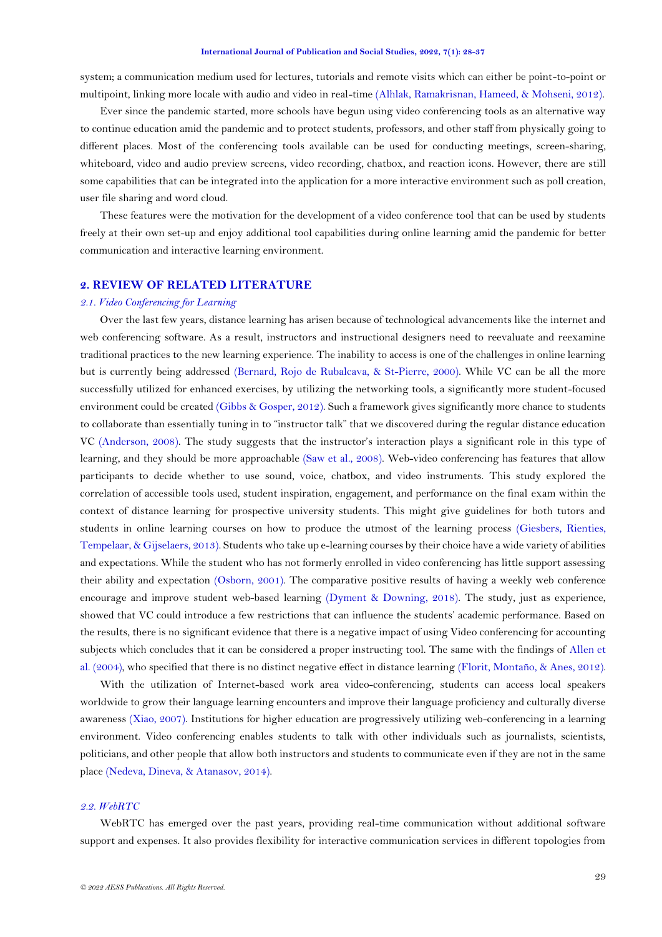system; a communication medium used for lectures, tutorials and remote visits which can either be point-to-point or multipoint, linking more locale with audio and video in real-time [\(Alhlak, Ramakrisnan, Hameed, & Mohseni, 2012\)](#page-8-1).

Ever since the pandemic started, more schools have begun using video conferencing tools as an alternative way to continue education amid the pandemic and to protect students, professors, and other staff from physically going to different places. Most of the conferencing tools available can be used for conducting meetings, screen-sharing, whiteboard, video and audio preview screens, video recording, chatbox, and reaction icons. However, there are still some capabilities that can be integrated into the application for a more interactive environment such as poll creation, user file sharing and word cloud.

These features were the motivation for the development of a video conference tool that can be used by students freely at their own set-up and enjoy additional tool capabilities during online learning amid the pandemic for better communication and interactive learning environment.

## **2. REVIEW OF RELATED LITERATURE**

### *2.1. Video Conferencing for Learning*

Over the last few years, distance learning has arisen because of technological advancements like the internet and web conferencing software. As a result, instructors and instructional designers need to reevaluate and reexamine traditional practices to the new learning experience. The inability to access is one of the challenges in online learning but is currently being addressed [\(Bernard, Rojo de Rubalcava, & St-Pierre, 2000\)](#page-8-2). While VC can be all the more successfully utilized for enhanced exercises, by utilizing the networking tools, a significantly more student-focused environment could be created [\(Gibbs & Gosper, 2012\)](#page-8-3). Such a framework gives significantly more chance to students to collaborate than essentially tuning in to "instructor talk" that we discovered during the regular distance education VC [\(Anderson, 2008\)](#page-8-4). The study suggests that the instructor's interaction plays a significant role in this type of learning, and they should be more approachable [\(Saw et al., 2008\)](#page-9-1). Web-video conferencing has features that allow participants to decide whether to use sound, voice, chatbox, and video instruments. This study explored the correlation of accessible tools used, student inspiration, engagement, and performance on the final exam within the context of distance learning for prospective university students. This might give guidelines for both tutors and students in online learning courses on how to produce the utmost of the learning process [\(Giesbers, Rienties,](#page-8-5)  [Tempelaar, & Gijselaers, 2013\)](#page-8-5). Students who take up e-learning courses by their choice have a wide variety of abilities and expectations. While the student who has not formerly enrolled in video conferencing has little support assessing their ability and expectation [\(Osborn, 2001\)](#page-8-6). The comparative positive results of having a weekly web conference encourage and improve student web-based learning (Dyment & [Downing, 2018\)](#page-8-7). The study, just as experience, showed that VC could introduce a few restrictions that can influence the students' academic performance. Based on the results, there is no significant evidence that there is a negative impact of using Video conferencing for accounting subjects which concludes that it can be considered a proper instructing tool. The same with the findings of [Allen et](#page-8-8)  [al. \(2004\)](#page-8-8), who specified that there is no distinct negative effect in distance learning [\(Florit, Montaño, & Anes, 2012\)](#page-8-9).

With the utilization of Internet-based work area video-conferencing, students can access local speakers worldwide to grow their language learning encounters and improve their language proficiency and culturally diverse awareness [\(Xiao, 2007\)](#page-9-2). Institutions for higher education are progressively utilizing web-conferencing in a learning environment. Video conferencing enables students to talk with other individuals such as journalists, scientists, politicians, and other people that allow both instructors and students to communicate even if they are not in the same place [\(Nedeva, Dineva, & Atanasov, 2014\)](#page-8-10).

### *2.2. WebRTC*

WebRTC has emerged over the past years, providing real-time communication without additional software support and expenses. It also provides flexibility for interactive communication services in different topologies from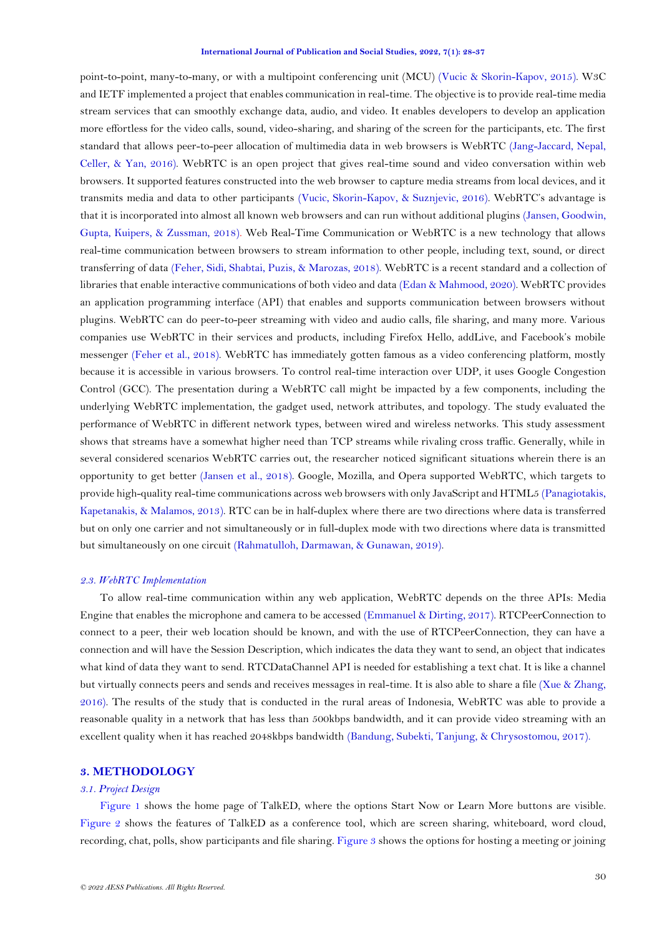point-to-point, many-to-many, or with a multipoint conferencing unit (MCU) [\(Vucic & Skorin-Kapov, 2015\)](#page-9-3). W3C and IETF implemented a project that enables communication in real-time. The objective is to provide real-time media stream services that can smoothly exchange data, audio, and video. It enables developers to develop an application more effortless for the video calls, sound, video-sharing, and sharing of the screen for the participants, etc. The first standard that allows peer-to-peer allocation of multimedia data in web browsers is WebRTC [\(Jang-Jaccard, Nepal,](#page-8-11)  [Celler, & Yan, 2016\)](#page-8-11). WebRTC is an open project that gives real-time sound and video conversation within web browsers. It supported features constructed into the web browser to capture media streams from local devices, and it transmits media and data to other participants [\(Vucic, Skorin-Kapov, & Suznjevic, 2016\)](#page-9-4). WebRTC's advantage is that it is incorporated into almost all known web browsers and can run without additional plugins [\(Jansen, Goodwin,](#page-8-12)  [Gupta, Kuipers, & Zussman, 2018\)](#page-8-12). Web Real-Time Communication or WebRTC is a new technology that allows real-time communication between browsers to stream information to other people, including text, sound, or direct transferring of data [\(Feher, Sidi, Shabtai, Puzis, & Marozas, 2018\)](#page-8-13). WebRTC is a recent standard and a collection of libraries that enable interactive communications of both video and data [\(Edan & Mahmood, 2020\)](#page-8-14). WebRTC provides an application programming interface (API) that enables and supports communication between browsers without plugins. WebRTC can do peer-to-peer streaming with video and audio calls, file sharing, and many more. Various companies use WebRTC in their services and products, including Firefox Hello, addLive, and Facebook's mobile messenger [\(Feher et al., 2018\)](#page-8-13). WebRTC has immediately gotten famous as a video conferencing platform, mostly because it is accessible in various browsers. To control real-time interaction over UDP, it uses Google Congestion Control (GCC). The presentation during a WebRTC call might be impacted by a few components, including the underlying WebRTC implementation, the gadget used, network attributes, and topology. The study evaluated the performance of WebRTC in different network types, between wired and wireless networks. This study assessment shows that streams have a somewhat higher need than TCP streams while rivaling cross traffic. Generally, while in several considered scenarios WebRTC carries out, the researcher noticed significant situations wherein there is an opportunity to get better [\(Jansen et al., 2018\)](#page-8-12). Google, Mozilla, and Opera supported WebRTC, which targets to provide high-quality real-time communications across web browsers with only JavaScript and HTML5 [\(Panagiotakis,](#page-9-5)  [Kapetanakis, & Malamos, 2013\)](#page-9-5). RTC can be in half-duplex where there are two directions where data is transferred but on only one carrier and not simultaneously or in full-duplex mode with two directions where data is transmitted but simultaneously on one circuit [\(Rahmatulloh, Darmawan, & Gunawan, 2019\)](#page-9-6).

#### *2.3. WebRTC Implementation*

To allow real-time communication within any web application, WebRTC depends on the three APIs: Media Engine that enables the microphone and camera to be accessed [\(Emmanuel & Dirting, 2017\)](#page-8-15). RTCPeerConnection to connect to a peer, their web location should be known, and with the use of RTCPeerConnection, they can have a connection and will have the Session Description, which indicates the data they want to send, an object that indicates what kind of data they want to send. RTCDataChannel API is needed for establishing a text chat. It is like a channel but virtually connects peers and sends and receives messages in real-time. It is also able to share a file [\(Xue & Zhang,](#page-9-7)  [2016\)](#page-9-7). The results of the study that is conducted in the rural areas of Indonesia, WebRTC was able to provide a reasonable quality in a network that has less than 500kbps bandwidth, and it can provide video streaming with an excellent quality when it has reached 2048kbps bandwidth [\(Bandung, Subekti, Tanjung, & Chrysostomou, 2017\)](#page-8-16).

### **3. METHODOLOGY**

## *3.1. Project Design*

[Figure 1](#page-3-0) shows the home page of TalkED, where the options Start Now or Learn More buttons are visible. [Figure 2](#page-3-1) shows the features of TalkED as a conference tool, which are screen sharing, whiteboard, word cloud, recording, chat, polls, show participants and file sharing. [Figure 3](#page-4-0) shows the options for hosting a meeting or joining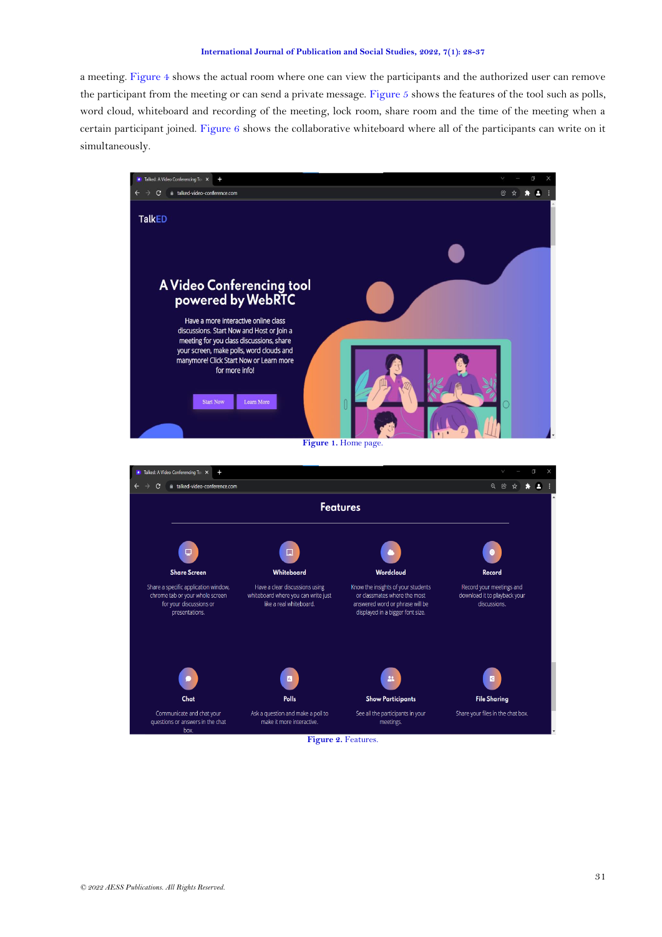a meeting. [Figure 4](#page-4-1) shows the actual room where one can view the participants and the authorized user can remove the participant from the meeting or can send a private message. [Figure 5](#page-4-2) shows the features of the tool such as polls, word cloud, whiteboard and recording of the meeting, lock room, share room and the time of the meeting when a certain participant joined. [Figure 6](#page-5-0) shows the collaborative whiteboard where all of the participants can write on it simultaneously.

<span id="page-3-1"></span><span id="page-3-0"></span>

**Figure 2.** Features.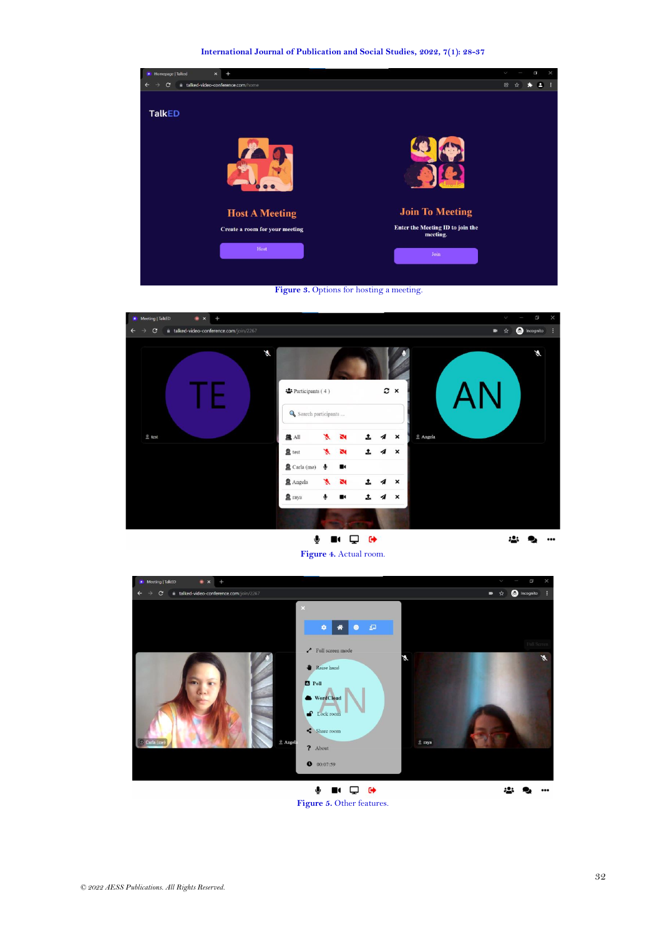



<span id="page-4-0"></span>

## **Figure 4.** Actual room.

<span id="page-4-2"></span><span id="page-4-1"></span>

**Figure 5.** Other features.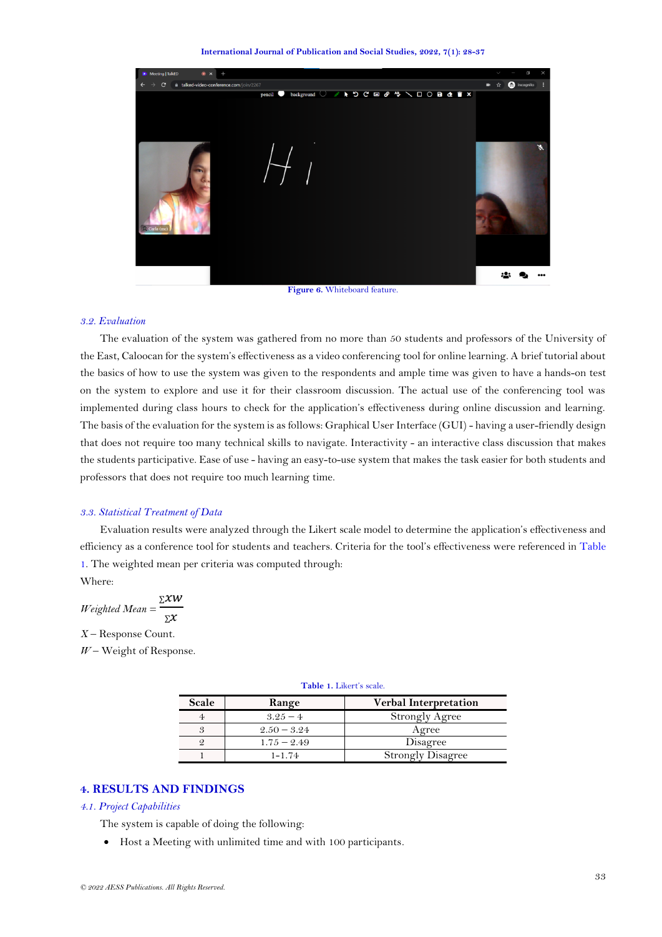**International Journal of Publication and Social Studies, 2022, 7(1): 28-37**



**Figure 6.** Whiteboard feature.

### <span id="page-5-0"></span>*3.2. Evaluation*

The evaluation of the system was gathered from no more than 50 students and professors of the University of the East, Caloocan for the system's effectiveness as a video conferencing tool for online learning. A brief tutorial about the basics of how to use the system was given to the respondents and ample time was given to have a hands-on test on the system to explore and use it for their classroom discussion. The actual use of the conferencing tool was implemented during class hours to check for the application's effectiveness during online discussion and learning. The basis of the evaluation for the system is as follows: Graphical User Interface (GUI) - having a user-friendly design that does not require too many technical skills to navigate. Interactivity - an interactive class discussion that makes the students participative. Ease of use - having an easy-to-use system that makes the task easier for both students and professors that does not require too much learning time.

### *3.3. Statistical Treatment of Data*

Evaluation results were analyzed through the Likert scale model to determine the application's effectiveness and efficiency as a conference tool for students and teachers. Criteria for the tool's effectiveness were referenced in [Table](#page-5-1)  [1.](#page-5-1) The weighted mean per criteria was computed through:

Where:

$$
Weighted Mean = \frac{\Sigma XW}{\Sigma X}
$$

*X* – Response Count.

<span id="page-5-1"></span>*W* – Weight of Response.

| Scale         | Range         | <b>Verbal Interpretation</b> |  |  |
|---------------|---------------|------------------------------|--|--|
|               | $3.25 - 4$    | <b>Strongly Agree</b>        |  |  |
| $\mathcal{S}$ | $2.50 - 3.24$ | Agree                        |  |  |
| 9             | $1.75 - 2.49$ | Disagree                     |  |  |
|               | $1 - 1.74$    | <b>Strongly Disagree</b>     |  |  |

### **Table 1.** Likert's scale.

# **4. RESULTS AND FINDINGS**

#### *4.1. Project Capabilities*

The system is capable of doing the following:

• Host a Meeting with unlimited time and with 100 participants.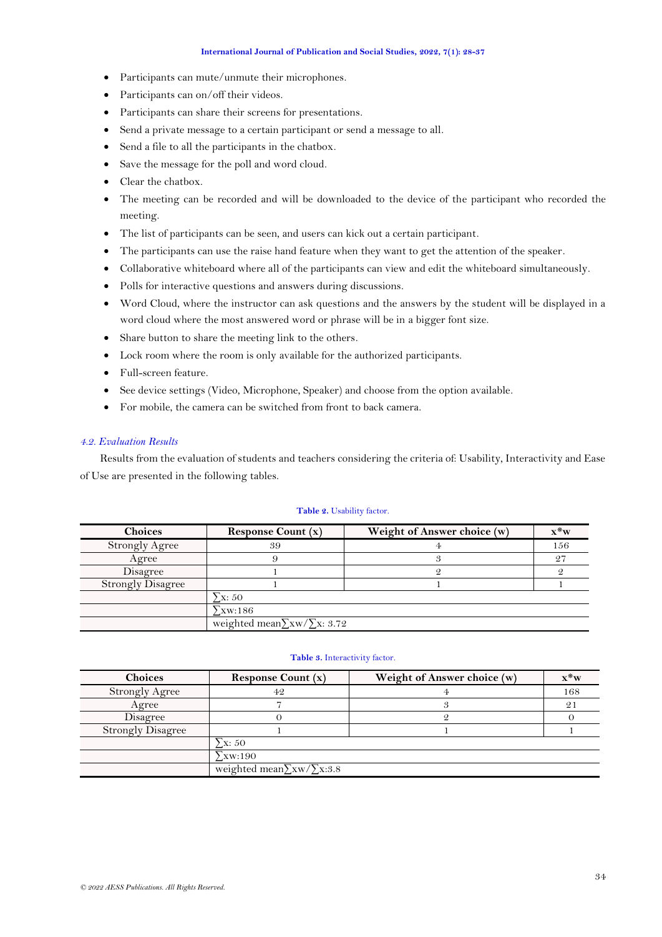- Participants can mute/unmute their microphones.
- Participants can on/off their videos.
- Participants can share their screens for presentations.
- Send a private message to a certain participant or send a message to all.
- Send a file to all the participants in the chatbox.
- Save the message for the poll and word cloud.
- Clear the chatbox.
- The meeting can be recorded and will be downloaded to the device of the participant who recorded the meeting.
- The list of participants can be seen, and users can kick out a certain participant.
- The participants can use the raise hand feature when they want to get the attention of the speaker.
- Collaborative whiteboard where all of the participants can view and edit the whiteboard simultaneously.
- Polls for interactive questions and answers during discussions.
- Word Cloud, where the instructor can ask questions and the answers by the student will be displayed in a word cloud where the most answered word or phrase will be in a bigger font size.
- Share button to share the meeting link to the others.
- Lock room where the room is only available for the authorized participants.
- Full-screen feature.
- See device settings (Video, Microphone, Speaker) and choose from the option available.
- For mobile, the camera can be switched from front to back camera.

## *4.2. Evaluation Results*

Results from the evaluation of students and teachers considering the criteria of: Usability, Interactivity and Ease of Use are presented in the following tables.

### **Table 2.** Usability factor.

<span id="page-6-0"></span>

| <b>Choices</b>           | Response Count $(x)$                    | Weight of Answer choice (w) | $\mathbf{x}^*$ w |
|--------------------------|-----------------------------------------|-----------------------------|------------------|
| <b>Strongly Agree</b>    | 39                                      |                             | 156              |
| Agree                    |                                         |                             | $2^{\prime}$     |
| Disagree                 |                                         |                             |                  |
| <b>Strongly Disagree</b> |                                         |                             |                  |
|                          | $\Sigma x: 50$                          |                             |                  |
|                          | $\Sigma$ xw:186                         |                             |                  |
|                          | weighted mean $\sum$ xw/ $\sum$ x: 3.72 |                             |                  |

### **Table 3.** Interactivity factor.

<span id="page-6-1"></span>

| <b>Choices</b>           | <b>Response Count (x)</b>          | Weight of Answer choice (w) | $\mathbf{x}^*$ w |
|--------------------------|------------------------------------|-----------------------------|------------------|
| <b>Strongly Agree</b>    | 42                                 |                             | 168              |
| Agree                    |                                    |                             | 2 <sub>1</sub>   |
| Disagree                 |                                    |                             |                  |
| <b>Strongly Disagree</b> |                                    |                             |                  |
|                          | $\Sigma x: 50$                     |                             |                  |
|                          | $\Sigma$ xw:190                    |                             |                  |
|                          | weighted mean $\sum xw/\sum x:3.8$ |                             |                  |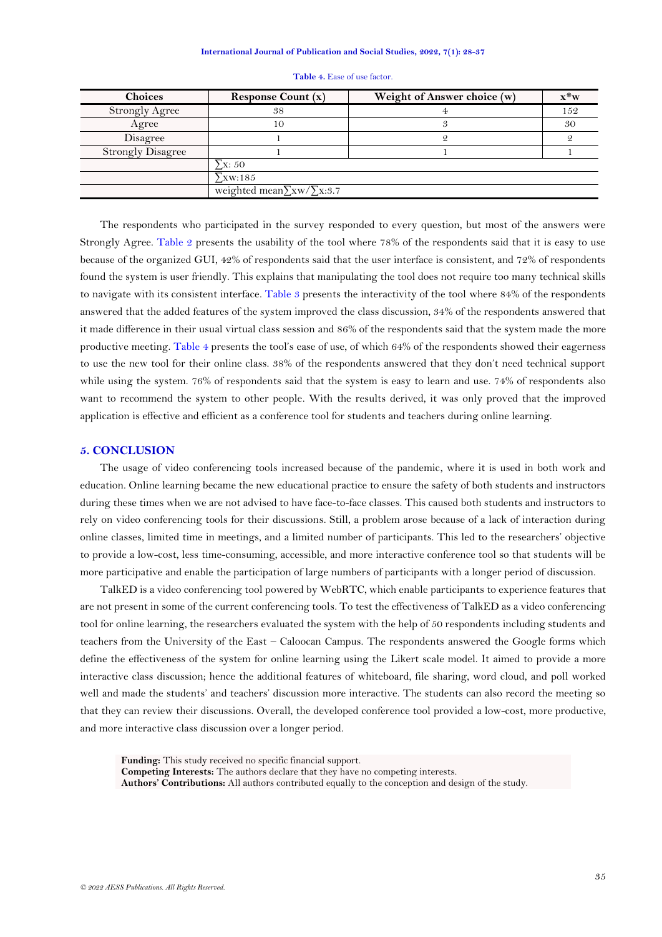<span id="page-7-0"></span>

| <b>Choices</b>           | <b>Response Count (x)</b>          | Weight of Answer choice (w) | $\mathbf{x}^*$ w |
|--------------------------|------------------------------------|-----------------------------|------------------|
| <b>Strongly Agree</b>    | 38                                 |                             | 152              |
| Agree                    | 10                                 |                             | 30               |
| Disagree                 |                                    |                             |                  |
| <b>Strongly Disagree</b> |                                    |                             |                  |
|                          | $\Sigma x: 50$                     |                             |                  |
|                          | $\Sigma$ xw:185                    |                             |                  |
|                          | weighted mean $\sum xw/\sum x:3.7$ |                             |                  |

#### **Table 4.** Ease of use factor.

The respondents who participated in the survey responded to every question, but most of the answers were Strongly Agree. [Table 2](#page-6-0) presents the usability of the tool where 78% of the respondents said that it is easy to use because of the organized GUI, 42% of respondents said that the user interface is consistent, and 72% of respondents found the system is user friendly. This explains that manipulating the tool does not require too many technical skills to navigate with its consistent interface. [Table 3](#page-6-1) presents the interactivity of the tool where 84% of the respondents answered that the added features of the system improved the class discussion, 34% of the respondents answered that it made difference in their usual virtual class session and 86% of the respondents said that the system made the more productive meeting. [Table 4](#page-7-0) presents the tool's ease of use, of which 64% of the respondents showed their eagerness to use the new tool for their online class. 38% of the respondents answered that they don't need technical support while using the system. 76% of respondents said that the system is easy to learn and use. 74% of respondents also want to recommend the system to other people. With the results derived, it was only proved that the improved application is effective and efficient as a conference tool for students and teachers during online learning.

### **5. CONCLUSION**

The usage of video conferencing tools increased because of the pandemic, where it is used in both work and education. Online learning became the new educational practice to ensure the safety of both students and instructors during these times when we are not advised to have face-to-face classes. This caused both students and instructors to rely on video conferencing tools for their discussions. Still, a problem arose because of a lack of interaction during online classes, limited time in meetings, and a limited number of participants. This led to the researchers' objective to provide a low-cost, less time-consuming, accessible, and more interactive conference tool so that students will be more participative and enable the participation of large numbers of participants with a longer period of discussion.

TalkED is a video conferencing tool powered by WebRTC, which enable participants to experience features that are not present in some of the current conferencing tools. To test the effectiveness of TalkED as a video conferencing tool for online learning, the researchers evaluated the system with the help of 50 respondents including students and teachers from the University of the East – Caloocan Campus. The respondents answered the Google forms which define the effectiveness of the system for online learning using the Likert scale model. It aimed to provide a more interactive class discussion; hence the additional features of whiteboard, file sharing, word cloud, and poll worked well and made the students' and teachers' discussion more interactive. The students can also record the meeting so that they can review their discussions. Overall, the developed conference tool provided a low-cost, more productive, and more interactive class discussion over a longer period.

**Funding:** This study received no specific financial support. **Competing Interests:** The authors declare that they have no competing interests. **Authors' Contributions:** All authors contributed equally to the conception and design of the study.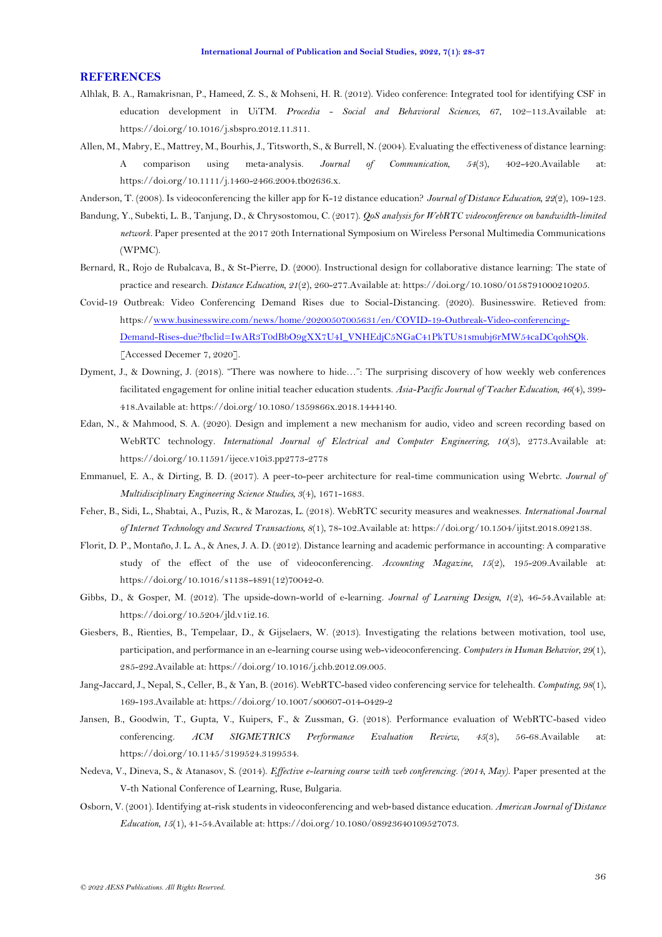#### **REFERENCES**

- <span id="page-8-1"></span>Alhlak, B. A., Ramakrisnan, P., Hameed, Z. S., & Mohseni, H. R. (2012). Video conference: Integrated tool for identifying CSF in education development in UiTM. *Procedia - Social and Behavioral Sciences, 67*, 102–113.Available at: https://doi.org/10.1016/j.sbspro.2012.11.311.
- <span id="page-8-8"></span>Allen, M., Mabry, E., Mattrey, M., Bourhis, J., Titsworth, S., & Burrell, N. (2004). Evaluating the effectiveness of distance learning: A comparison using meta‐analysis. *Journal of Communication, 54*(3), 402-420.Available at: https://doi.org/10.1111/j.1460-2466.2004.tb02636.x.
- <span id="page-8-4"></span>Anderson, T. (2008). Is videoconferencing the killer app for K-12 distance education? *Journal of Distance Education, 22*(2), 109-123.
- <span id="page-8-16"></span>Bandung, Y., Subekti, L. B., Tanjung, D., & Chrysostomou, C. (2017). *QoS analysis for WebRTC videoconference on bandwidth-limited network.* Paper presented at the 2017 20th International Symposium on Wireless Personal Multimedia Communications (WPMC).
- <span id="page-8-2"></span>Bernard, R., Rojo de Rubalcava, B., & St-Pierre, D. (2000). Instructional design for collaborative distance learning: The state of practice and research. *Distance Education, 21*(2), 260-277.Available at: https://doi.org/10.1080/0158791000210205.
- <span id="page-8-0"></span>Covid-19 Outbreak: Video Conferencing Demand Rises due to Social-Distancing. (2020). Businesswire. Retieved from: https:/[/www.businesswire.com/news/home/20200507005631/en/COVID-19-Outbreak-Video-conferencing-](http://www.businesswire.com/news/home/20200507005631/en/COVID-19-Outbreak-Video-conferencing-Demand-Rises-due?fbclid=IwAR3T0dBbO9gXX7U4I_VNHEdjC5NGaC41PkTU81smubj6rMW54caDCqohSQk)[Demand-Rises-due?fbclid=IwAR3T0dBbO9gXX7U4I\\_VNHEdjC5NGaC41PkTU81smubj6rMW54caDCqohSQk.](http://www.businesswire.com/news/home/20200507005631/en/COVID-19-Outbreak-Video-conferencing-Demand-Rises-due?fbclid=IwAR3T0dBbO9gXX7U4I_VNHEdjC5NGaC41PkTU81smubj6rMW54caDCqohSQk)  [Accessed Decemer 7, 2020].
- <span id="page-8-7"></span>Dyment, J., & Downing, J. (2018). "There was nowhere to hide…": The surprising discovery of how weekly web conferences facilitated engagement for online initial teacher education students. *Asia-Pacific Journal of Teacher Education, 46*(4), 399- 418.Available at: https://doi.org/10.1080/1359866x.2018.1444140.
- <span id="page-8-14"></span>Edan, N., & Mahmood, S. A. (2020). Design and implement a new mechanism for audio, video and screen recording based on WebRTC technology. *International Journal of Electrical and Computer Engineering, 10*(3), 2773.Available at: https://doi.org/10.11591/ijece.v10i3.pp2773-2778
- <span id="page-8-15"></span>Emmanuel, E. A., & Dirting, B. D. (2017). A peer-to-peer architecture for real-time communication using Webrtc. *Journal of Multidisciplinary Engineering Science Studies, 3*(4), 1671-1683.
- <span id="page-8-13"></span>Feher, B., Sidi, L., Shabtai, A., Puzis, R., & Marozas, L. (2018). WebRTC security measures and weaknesses. *International Journal of Internet Technology and Secured Transactions, 8*(1), 78-102.Available at: https://doi.org/10.1504/ijitst.2018.092138.
- <span id="page-8-9"></span>Florit, D. P., Montaño, J. L. A., & Anes, J. A. D. (2012). Distance learning and academic performance in accounting: A comparative study of the effect of the use of videoconferencing. *Accounting Magazine, 15*(2), 195-209.Available at: https://doi.org/10.1016/s1138-4891(12)70042-0.
- <span id="page-8-3"></span>Gibbs, D., & Gosper, M. (2012). The upside-down-world of e-learning. *Journal of Learning Design, 1*(2), 46-54.Available at: https://doi.org/10.5204/jld.v1i2.16.
- <span id="page-8-5"></span>Giesbers, B., Rienties, B., Tempelaar, D., & Gijselaers, W. (2013). Investigating the relations between motivation, tool use, participation, and performance in an e-learning course using web-videoconferencing. *Computers in Human Behavior, 29*(1), 285-292.Available at: https://doi.org/10.1016/j.chb.2012.09.005.
- <span id="page-8-11"></span>Jang-Jaccard, J., Nepal, S., Celler, B., & Yan, B. (2016). WebRTC-based video conferencing service for telehealth. *Computing, 98*(1), 169-193.Available at: https://doi.org/10.1007/s00607-014-0429-2
- <span id="page-8-12"></span>Jansen, B., Goodwin, T., Gupta, V., Kuipers, F., & Zussman, G. (2018). Performance evaluation of WebRTC-based video conferencing. *ACM SIGMETRICS Performance Evaluation Review, 45*(3), 56-68.Available at: https://doi.org/10.1145/3199524.3199534.
- <span id="page-8-10"></span>Nedeva, V., Dineva, S., & Atanasov, S. (2014). *Effective e-learning course with web conferencing. (2014, May)*. Paper presented at the V-th National Conference of Learning, Ruse, Bulgaria.
- <span id="page-8-6"></span>Osborn, V. (2001). Identifying at-risk students in videoconferencing and web-based distance education. *American Journal of Distance Education, 15*(1), 41-54.Available at: https://doi.org/10.1080/08923640109527073.